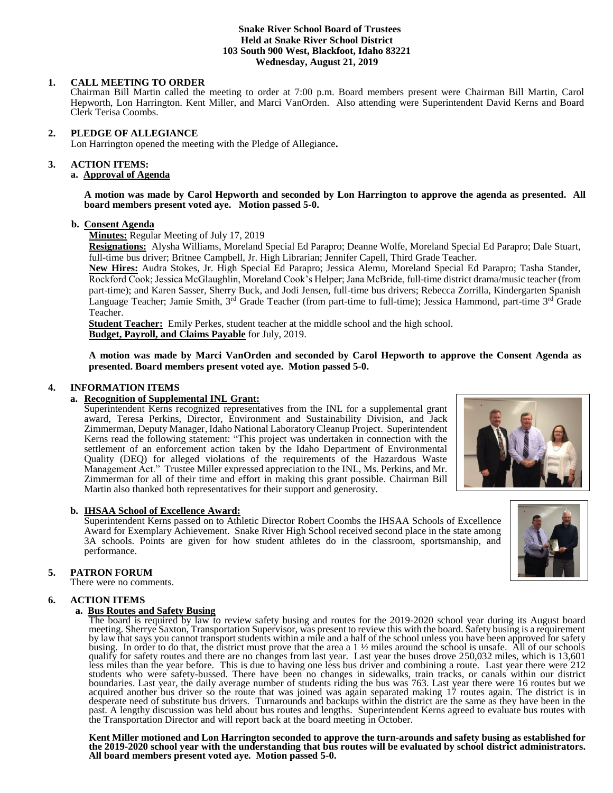# **Snake River School Board of Trustees Held at Snake River School District 103 South 900 West, Blackfoot, Idaho 83221 Wednesday, August 21, 2019**

# **1. CALL MEETING TO ORDER**

Chairman Bill Martin called the meeting to order at 7:00 p.m. Board members present were Chairman Bill Martin, Carol Hepworth, Lon Harrington. Kent Miller, and Marci VanOrden. Also attending were Superintendent David Kerns and Board Clerk Terisa Coombs.

# **2. PLEDGE OF ALLEGIANCE**

Lon Harrington opened the meeting with the Pledge of Allegiance**.** 

# **3. ACTION ITEMS:**

# **a. Approval of Agenda**

**A motion was made by Carol Hepworth and seconded by Lon Harrington to approve the agenda as presented. All board members present voted aye. Motion passed 5-0.**

## **b. Consent Agenda**

**Minutes:** Regular Meeting of July 17, 2019

**Resignations:** Alysha Williams, Moreland Special Ed Parapro; Deanne Wolfe, Moreland Special Ed Parapro; Dale Stuart, full-time bus driver; Britnee Campbell, Jr. High Librarian; Jennifer Capell, Third Grade Teacher.

**New Hires:** Audra Stokes, Jr. High Special Ed Parapro; Jessica Alemu, Moreland Special Ed Parapro; Tasha Stander, Rockford Cook; Jessica McGlaughlin, Moreland Cook's Helper; Jana McBride, full-time district drama/music teacher (from part-time); and Karen Sasser, Sherry Buck, and Jodi Jensen, full-time bus drivers; Rebecca Zorrilla, Kindergarten Spanish Language Teacher; Jamie Smith, 3<sup>rd</sup> Grade Teacher (from part-time to full-time); Jessica Hammond, part-time 3<sup>rd</sup> Grade Teacher.

**Student Teacher:** Emily Perkes, student teacher at the middle school and the high school. **Budget, Payroll, and Claims Payable** for July, 2019.

**A motion was made by Marci VanOrden and seconded by Carol Hepworth to approve the Consent Agenda as presented. Board members present voted aye. Motion passed 5-0.**

# **4. INFORMATION ITEMS**

# **a. Recognition of Supplemental INL Grant:**

Superintendent Kerns recognized representatives from the INL for a supplemental grant award, Teresa Perkins, Director, Environment and Sustainability Division, and Jack Zimmerman, Deputy Manager, Idaho National Laboratory Cleanup Project. Superintendent Kerns read the following statement: "This project was undertaken in connection with the settlement of an enforcement action taken by the Idaho Department of Environmental Quality (DEQ) for alleged violations of the requirements of the Hazardous Waste Management Act." Trustee Miller expressed appreciation to the INL, Ms. Perkins, and Mr. Zimmerman for all of their time and effort in making this grant possible. Chairman Bill Martin also thanked both representatives for their support and generosity.

# **b. IHSAA School of Excellence Award:**

Superintendent Kerns passed on to Athletic Director Robert Coombs the IHSAA Schools of Excellence Award for Exemplary Achievement. Snake River High School received second place in the state among 3A schools. Points are given for how student athletes do in the classroom, sportsmanship, and performance.

# **5. PATRON FORUM**

There were no comments.

# **6. ACTION ITEMS**

# **a. Bus Routes and Safety Busing**

The board is required by law to review safety busing and routes for the 2019-2020 school year during its August board meeting. Sherrye Saxton, Transportation Supervisor, was present to review this with the board. Safety busing is a requirement by law that says you cannot transport students within a mile and a half of the school unless you have been approved for safety busing. In order to do that, the district must prove that the area a 1 ½ miles around the school is unsafe. All of our schools qualify for safety routes and there are no changes from last year. Last year the buses drove 250,032 miles, which is 13,601 less miles than the year before. This is due to having one less bus driver and combining a route. Last year there were 212 students who were safety-bussed. There have been no changes in sidewalks, train tracks, or canals within our district boundaries. Last year, the daily average number of students riding the bus was 763. Last year there were 16 routes but we acquired another bus driver so the route that was joined was again separated making 17 routes again. The district is in desperate need of substitute bus drivers. Turnarounds and backups within the district are the same as they have been in the past. A lengthy discussion was held about bus routes and lengths. Superintendent Kerns agreed to evaluate bus routes with the Transportation Director and will report back at the board meeting in October.

**Kent Miller motioned and Lon Harrington seconded to approve the turn-arounds and safety busing as established for the 2019-2020 school year with the understanding that bus routes will be evaluated by school district administrators. All board members present voted aye. Motion passed 5-0.**



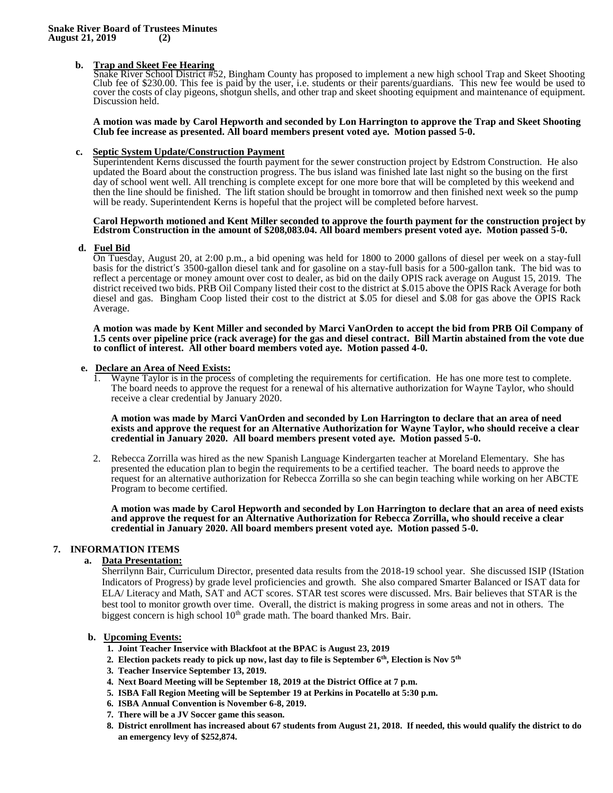# **b. Trap and Skeet Fee Hearing**

Snake River School District #52, Bingham County has proposed to implement a new high school Trap and Skeet Shooting Club fee of \$230.00. This fee is paid by the user, i.e. students or their parents/guardians. This new fee would be used to cover the costs of clay pigeons, shotgun shells, and other trap and skeet shooting equipment and maintenance of equipment. Discussion held.

**A motion was made by Carol Hepworth and seconded by Lon Harrington to approve the Trap and Skeet Shooting Club fee increase as presented. All board members present voted aye. Motion passed 5-0.**

# **c. Septic System Update/Construction Payment**

Superintendent Kerns discussed the fourth payment for the sewer construction project by Edstrom Construction. He also updated the Board about the construction progress. The bus island was finished late last night so the busing on the first day of school went well. All trenching is complete except for one more bore that will be completed by this weekend and then the line should be finished. The lift station should be brought in tomorrow and then finished next week so the pump will be ready. Superintendent Kerns is hopeful that the project will be completed before harvest.

#### **Carol Hepworth motioned and Kent Miller seconded to approve the fourth payment for the construction project by Edstrom Construction in the amount of \$208,083.04. All board members present voted aye. Motion passed 5-0.**

#### **d. Fuel Bid**

On Tuesday, August 20, at 2:00 p.m., a bid opening was held for 1800 to 2000 gallons of diesel per week on a stay-full basis for the district's 3500-gallon diesel tank and for gasoline on a stay-full basis for a 500-gallon tank. The bid was to reflect a percentage or money amount over cost to dealer, as bid on the daily OPIS rack average on August 15, 2019. The district received two bids. PRB Oil Company listed their cost to the district at \$.015 above the OPIS Rack Average for both diesel and gas. Bingham Coop listed their cost to the district at \$.05 for diesel and \$.08 for gas above the OPIS Rack Average.

**A motion was made by Kent Miller and seconded by Marci VanOrden to accept the bid from PRB Oil Company of 1.5 cents over pipeline price (rack average) for the gas and diesel contract. Bill Martin abstained from the vote due to conflict of interest. All other board members voted aye. Motion passed 4-0.**

# **e.** <u>Declare an Area of Need Exists:</u><br>1. Wayne Taylor is in the proces

1. Wayne Taylor is in the process of completing the requirements for certification. He has one more test to complete. The board needs to approve the request for a renewal of his alternative authorization for Wayne Taylor, who should receive a clear credential by January 2020.

**A motion was made by Marci VanOrden and seconded by Lon Harrington to declare that an area of need exists and approve the request for an Alternative Authorization for Wayne Taylor, who should receive a clear credential in January 2020. All board members present voted aye. Motion passed 5-0.**

2. Rebecca Zorrilla was hired as the new Spanish Language Kindergarten teacher at Moreland Elementary. She has presented the education plan to begin the requirements to be a certified teacher. The board needs to approve the request for an alternative authorization for Rebecca Zorrilla so she can begin teaching while working on her ABCTE Program to become certified.

**A motion was made by Carol Hepworth and seconded by Lon Harrington to declare that an area of need exists and approve the request for an Alternative Authorization for Rebecca Zorrilla, who should receive a clear credential in January 2020. All board members present voted aye. Motion passed 5-0.**

# **7. INFORMATION ITEMS**

# **a. Data Presentation:**

Sherrilynn Bair, Curriculum Director, presented data results from the 2018-19 school year. She discussed ISIP (IStation Indicators of Progress) by grade level proficiencies and growth. She also compared Smarter Balanced or ISAT data for ELA/ Literacy and Math, SAT and ACT scores. STAR test scores were discussed. Mrs. Bair believes that STAR is the best tool to monitor growth over time. Overall, the district is making progress in some areas and not in others. The biggest concern is high school  $10<sup>th</sup>$  grade math. The board thanked Mrs. Bair.

#### **b. Upcoming Events:**

- **1. Joint Teacher Inservice with Blackfoot at the BPAC is August 23, 2019**
- **2. Election packets ready to pick up now, last day to file is September 6th, Election is Nov 5th**
- **3. Teacher Inservice September 13, 2019.**
- **4. Next Board Meeting will be September 18, 2019 at the District Office at 7 p.m.**
- **5. ISBA Fall Region Meeting will be September 19 at Perkins in Pocatello at 5:30 p.m.**
- **6. ISBA Annual Convention is November 6-8, 2019.**
- **7. There will be a JV Soccer game this season.**
- **8. District enrollment has increased about 67 students from August 21, 2018. If needed, this would qualify the district to do an emergency levy of \$252,874.**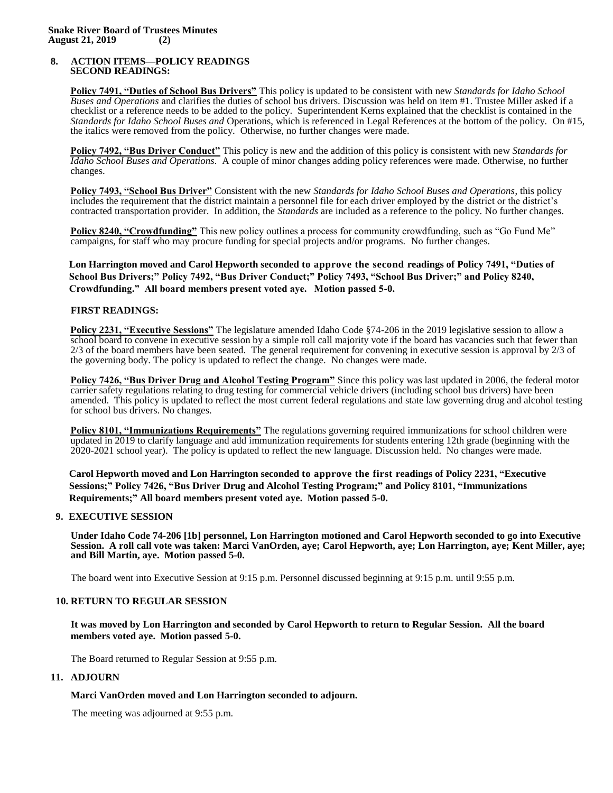## **8. ACTION ITEMS—POLICY READINGS SECOND READINGS:**

**Policy 7491, "Duties of School Bus Drivers"** This policy is updated to be consistent with new *Standards for Idaho School Buses and Operations* and clarifies the duties of school bus drivers. Discussion was held on item #1. Trustee Miller asked if a checklist or a reference needs to be added to the policy. Superintendent Kerns explained that the checklist is contained in the *Standards for Idaho School Buses and* Operations, which is referenced in Legal References at the bottom of the policy. On #15, the italics were removed from the policy. Otherwise, no further changes were made.

**Policy 7492, "Bus Driver Conduct"** This policy is new and the addition of this policy is consistent with new *Standards for Idaho School Buses and Operations.* A couple of minor changes adding policy references were made. Otherwise, no further changes.

**Policy 7493, "School Bus Driver"** Consistent with the new *Standards for Idaho School Buses and Operations*, this policy includes the requirement that the district maintain a personnel file for each driver employed by the district or the district's contracted transportation provider. In addition, the *Standards* are included as a reference to the policy. No further changes.

**Policy 8240, "Crowdfunding"** This new policy outlines a process for community crowdfunding, such as "Go Fund Me" campaigns, for staff who may procure funding for special projects and/or programs. No further changes.

# **Lon Harrington moved and Carol Hepworth seconded to approve the second readings of Policy 7491, "Duties of School Bus Drivers;" Policy 7492, "Bus Driver Conduct;" Policy 7493, "School Bus Driver;" and Policy 8240, Crowdfunding." All board members present voted aye. Motion passed 5-0.**

# **FIRST READINGS:**

**Policy 2231, "Executive Sessions"** The legislature amended Idaho Code §74-206 in the 2019 legislative session to allow a school board to convene in executive session by a simple roll call majority vote if the board has vacancies such that fewer than 2/3 of the board members have been seated. The general requirement for convening in executive session is approval by 2/3 of the governing body. The policy is updated to reflect the change. No changes were made.

**Policy 7426, "Bus Driver Drug and Alcohol Testing Program"** Since this policy was last updated in 2006, the federal motor carrier safety regulations relating to drug testing for commercial vehicle drivers (including school bus drivers) have been amended. This policy is updated to reflect the most current federal regulations and state law governing drug and alcohol testing for school bus drivers. No changes.

**Policy 8101, "Immunizations Requirements"** The regulations governing required immunizations for school children were updated in 2019 to clarify language and add immunization requirements for students entering 12th grade (beginning with the 2020-2021 school year). The policy is updated to reflect the new language. Discussion held. No changes were made.

**Carol Hepworth moved and Lon Harrington seconded to approve the first readings of Policy 2231, "Executive Sessions;" Policy 7426, "Bus Driver Drug and Alcohol Testing Program;" and Policy 8101, "Immunizations Requirements;" All board members present voted aye. Motion passed 5-0.**

## **9. EXECUTIVE SESSION**

**Under Idaho Code 74-206 [1b] personnel, Lon Harrington motioned and Carol Hepworth seconded to go into Executive Session. A roll call vote was taken: Marci VanOrden, aye; Carol Hepworth, aye; Lon Harrington, aye; Kent Miller, aye; and Bill Martin, aye. Motion passed 5-0.** 

The board went into Executive Session at 9:15 p.m. Personnel discussed beginning at 9:15 p.m. until 9:55 p.m.

# **10. RETURN TO REGULAR SESSION**

**It was moved by Lon Harrington and seconded by Carol Hepworth to return to Regular Session. All the board members voted aye. Motion passed 5-0.** 

The Board returned to Regular Session at 9:55 p.m.

# **11. ADJOURN**

## **Marci VanOrden moved and Lon Harrington seconded to adjourn.**

The meeting was adjourned at 9:55 p.m.